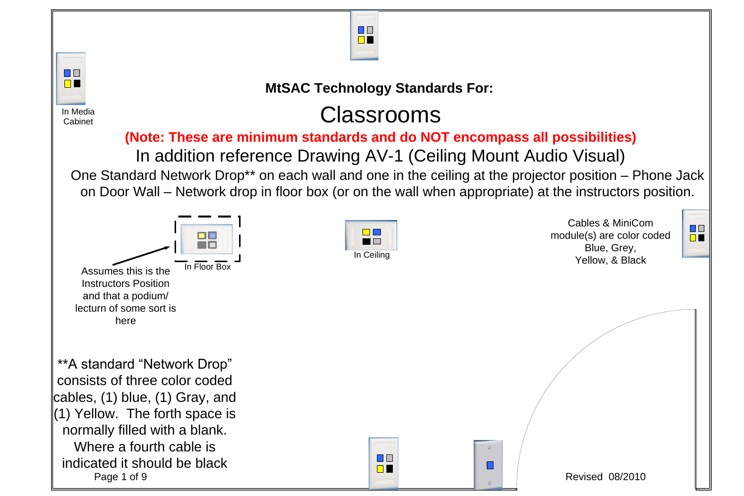# Classrooms

\*\*A standard "Network Drop" consists of three color coded cables, (1) blue, (1) Gray, and  $\parallel$  (1) Yellow. The forth space is normally filled with a blank. Where a fourth cable is indicated it should be black Page 1 of 9 Revised 08/2010



### **(Note: These are minimum standards and do NOT encompass all possibilities)** In addition reference Drawing AV-1 (Ceiling Mount Audio Visual) One Standard Network Drop\*\* on each wall and one in the ceiling at the projector position – Phone Jack on Door Wall – Network drop in floor box (or on the wall when appropriate) at the instructors position.



In Media **Cabinet** 

> Cables & MiniCom module(s) are color coded Blue, Grey,





## **MtSAC Technology Standards For:**





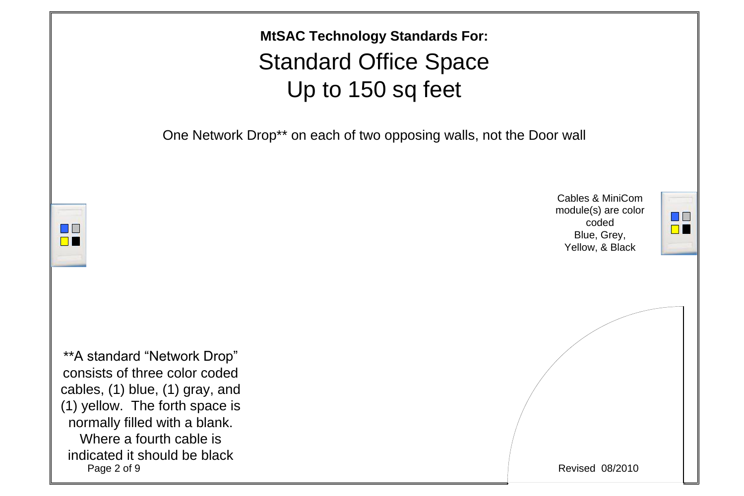



\*\*A standard "Network Drop" consists of three color coded cables, (1) blue, (1) gray, and (1) yellow. The forth space is normally filled with a blank. Where a fourth cable is indicated it should be black<br>Page 2 of 9

# Standard Office Space Up to 150 sq feet **MtSAC Technology Standards For:**

One Network Drop<sup>\*\*</sup> on each of two opposing walls, not the Door wall

Cables & MiniCom module(s) are color coded Blue, Grey, Yellow, & Black



**Revised 08/2010**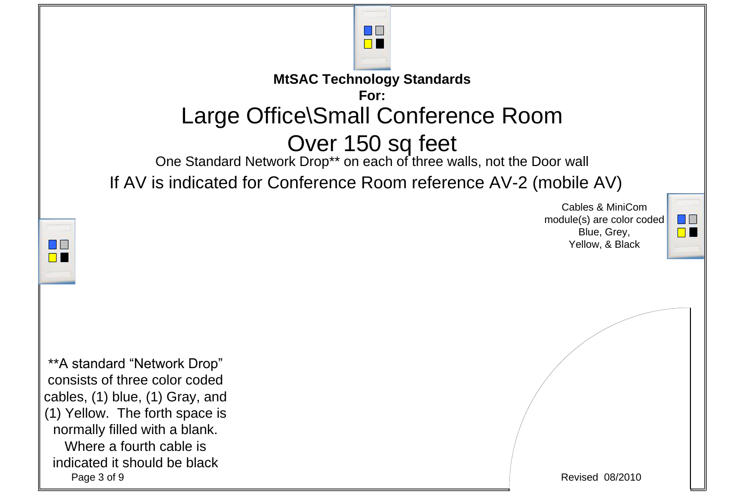\*\*A standard "Network Drop" consists of three color coded cables, (1) blue, (1) Gray, and (1) Yellow. The forth space is normally filled with a blank. Where a fourth cable is indicated it should be black Page 3 of 9 Revised 08/2010



## Large Office\Small Conference Room Over 150 sq feet One Standard Network Drop\*\* on each of three walls, not the Door wall **MtSAC Technology Standards For:**



Cables & MiniCom module(s) are color coded Blue, Grey, Yellow, & Black



If AV is indicated for Conference Room reference AV-2 (mobile AV)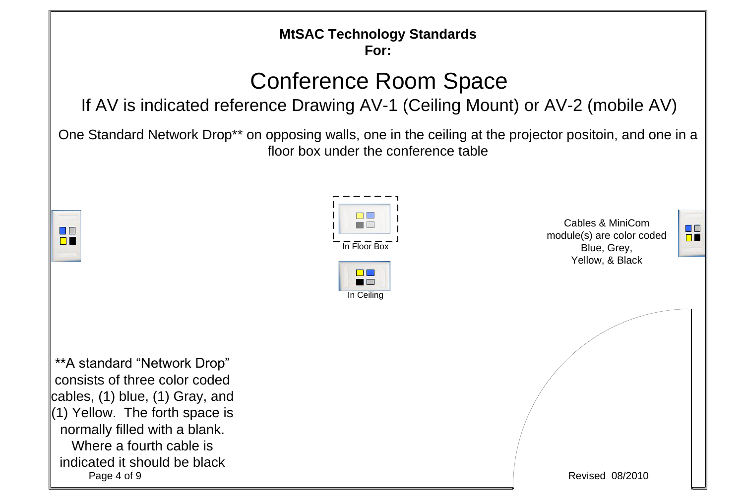## Conference Room Space If AV is indicated reference Drawing AV-1 (Ceiling Mount) or AV-2 (mobile AV)

One Standard Network Drop<sup>\*\*</sup> on opposing walls, one in the ceiling at the projector positoin, and one in a floor box under the conference table





In Ceiling



### **MtSAC Technology Standards For:**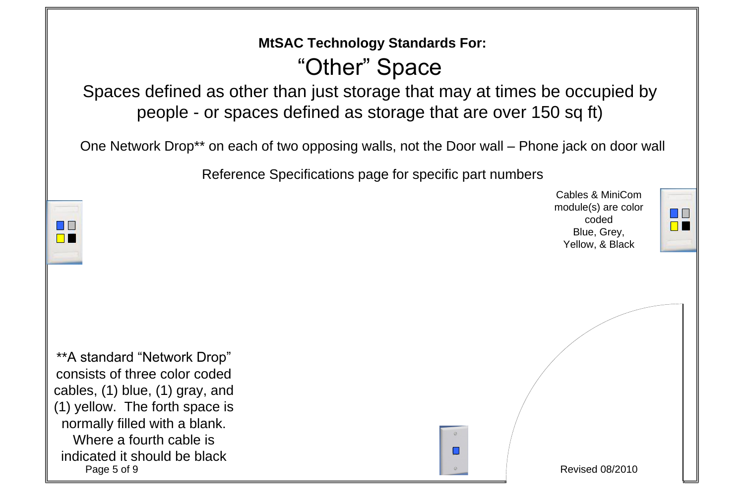Spaces defined as other than just storage that may at times be occupied by people - or spaces defined as storage that are over 150 sq ft)



\*\*A standard "Network Drop" consists of three color coded cables, (1) blue, (1) gray, and (1) yellow. The forth space is normally filled with a blank. Where a fourth cable is indicated it should be black Page 5 of 9 Revised 08/2010

One Network Drop\*\* on each of two opposing walls, not the Door wall – Phone jack on door wall

# "Other" Space **MtSAC Technology Standards For:**

Cables & MiniCom module(s) are color coded Blue, Grey, Yellow, & Black



Reference Specifications page for specific part numbers

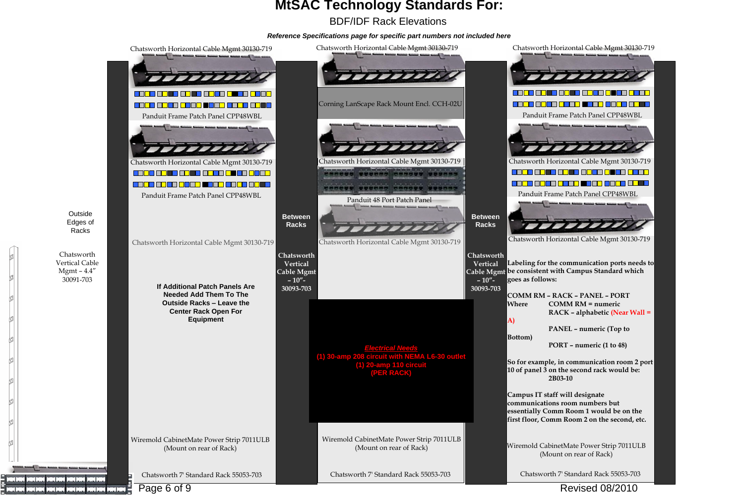### *Reference Specifications page for specific part numbers not included here*

### BDF/IDF Rack Elevations **MtSAC Technology Standards For:**

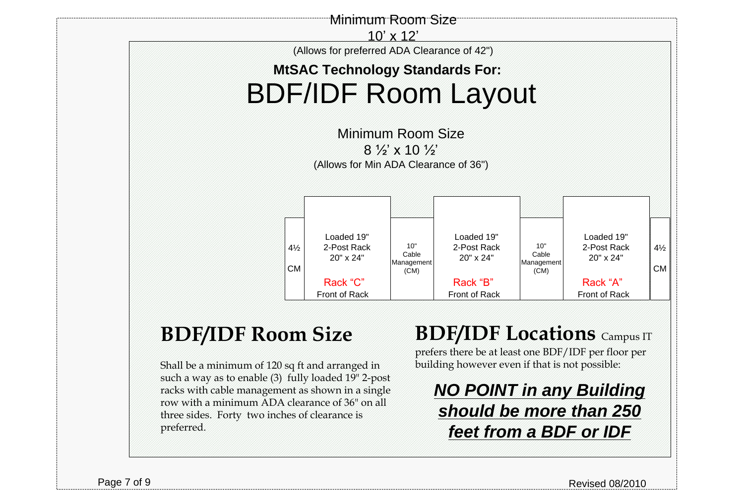# **BDF/IDF Room Size**



Shall be a minimum of 120 sq ft and arranged in such a way as to enable (3) fully loaded 19" 2-post racks with cable management as shown in a single row with a minimum ADA clearance of 36" on all three sides. Forty two inches of clearance is preferred.

*NO POINT in any Building should be more than 250 feet from a BDF or IDF*

Page 7 of 9 Revised 08/2010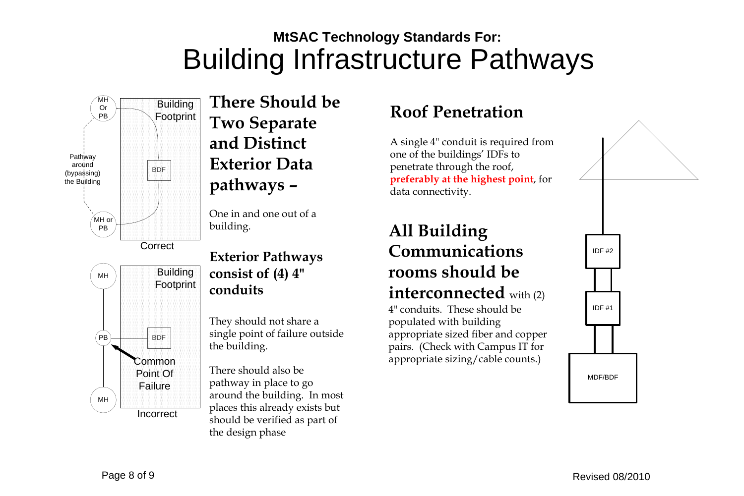# Building Infrastructure Pathways **MtSAC Technology Standards For:**

**There Should be Two Separate and Distinct Exterior Data pathways –**

One in and one out of a building.

### **Exterior Pathways consist of (4) 4" conduits**

They should not share a single point of failure outside the building.

There should also be pathway in place to go around the building. In most places this already exists but should be verified as part of the design phase

## **All Building Communications rooms should be interconnected** with (2)

4" conduits. These should be populated with building appropriate sized fiber and copper pairs. (Check with Campus IT for appropriate sizing/cable counts.)





Page 8 of 9 Revised 08/2010

## **Roof Penetration**

A single 4" conduit is required from one of the buildings' IDFs to penetrate through the roof, **preferably at the highest point**, for data connectivity.